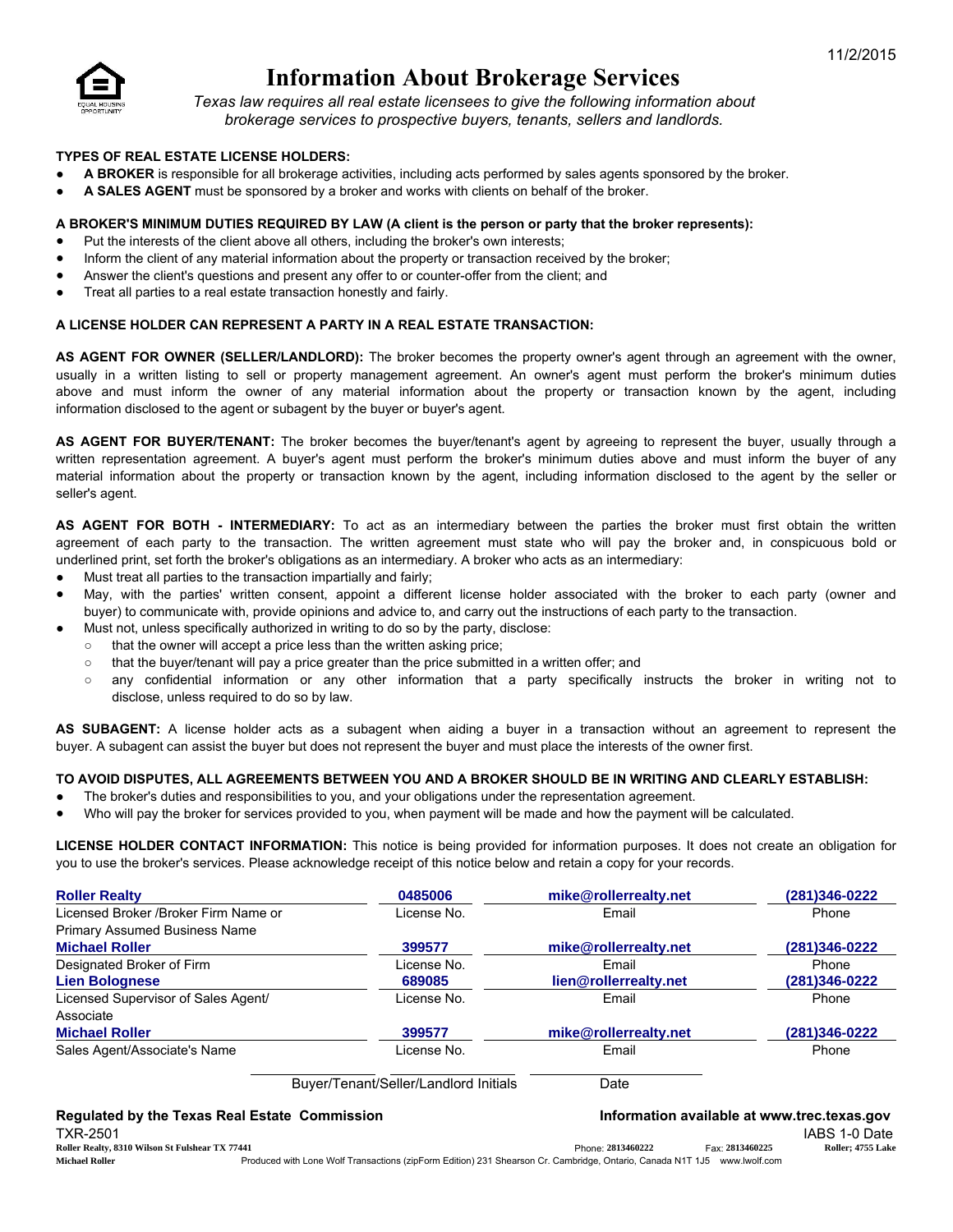

# Information About Brokerage Services

*Texas law requires all real estate licensees to give the following information about brokerage services to prospective buyers, tenants, sellers and landlords.*

# TYPES OF REAL ESTATE LICENSE HOLDERS:

- A BROKER is responsible for all brokerage activities, including acts performed by sales agents sponsored by the broker.
- A SALES AGENT must be sponsored by a broker and works with clients on behalf of the broker.

### A BROKER'S MINIMUM DUTIES REQUIRED BY LAW (A client is the person or party that the broker represents):

- Put the interests of the client above all others, including the broker's own interests;
- Inform the client of any material information about the property or transaction received by the broker;
- Answer the client's questions and present any offer to or counter-offer from the client; and
- Treat all parties to a real estate transaction honestly and fairly.

### A LICENSE HOLDER CAN REPRESENT A PARTY IN A REAL ESTATE TRANSACTION:

AS AGENT FOR OWNER (SELLER/LANDLORD): The broker becomes the property owner's agent through an agreement with the owner, usually in a written listing to sell or property management agreement. An owner's agent must perform the broker's minimum duties above and must inform the owner of any material information about the property or transaction known by the agent, including information disclosed to the agent or subagent by the buyer or buyer's agent.

AS AGENT FOR BUYER/TENANT: The broker becomes the buyer/tenant's agent by agreeing to represent the buyer, usually through a written representation agreement. A buyer's agent must perform the broker's minimum duties above and must inform the buyer of any material information about the property or transaction known by the agent, including information disclosed to the agent by the seller or seller's agent.

AS AGENT FOR BOTH - INTERMEDIARY: To act as an intermediary between the parties the broker must first obtain the written agreement of each party to the transaction. The written agreement must state who will pay the broker and, in conspicuous bold or underlined print, set forth the broker's obligations as an intermediary. A broker who acts as an intermediary:

- Must treat all parties to the transaction impartially and fairly;
- May, with the parties' written consent, appoint a different license holder associated with the broker to each party (owner and buyer) to communicate with, provide opinions and advice to, and carry out the instructions of each party to the transaction.
- Must not, unless specifically authorized in writing to do so by the party, disclose:
	- that the owner will accept a price less than the written asking price;
	- that the buyer/tenant will pay a price greater than the price submitted in a written offer; and
	- any confidential information or any other information that a party specifically instructs the broker in writing not to disclose, unless required to do so by law.

AS SUBAGENT: A license holder acts as a subagent when aiding a buyer in a transaction without an agreement to represent the buyer. A subagent can assist the buyer but does not represent the buyer and must place the interests of the owner first.

#### TO AVOID DISPUTES, ALL AGREEMENTS BETWEEN YOU AND A BROKER SHOULD BE IN WRITING AND CLEARLY ESTABLISH:

- The broker's duties and responsibilities to you, and your obligations under the representation agreement.
- Who will pay the broker for services provided to you, when payment will be made and how the payment will be calculated.

LICENSE HOLDER CONTACT INFORMATION: This notice is being provided for information purposes. It does not create an obligation for you to use the broker's services. Please acknowledge receipt of this notice below and retain a copy for your records.

| <b>Roller Realty</b>                  | 0485006                               | mike@rollerrealty.net | (281)346-0222 |
|---------------------------------------|---------------------------------------|-----------------------|---------------|
| Licensed Broker / Broker Firm Name or | License No.                           | Email                 | Phone         |
| Primary Assumed Business Name         |                                       |                       |               |
| <b>Michael Roller</b>                 | 399577                                | mike@rollerrealty.net | (281)346-0222 |
| Designated Broker of Firm             | License No.                           | Email                 | Phone         |
| <b>Lien Bolognese</b>                 | 689085                                | lien@rollerrealty.net | (281)346-0222 |
| Licensed Supervisor of Sales Agent/   | License No.                           | Email                 | Phone         |
| Associate                             |                                       |                       |               |
| <b>Michael Roller</b>                 | 399577                                | mike@rollerrealty.net | (281)346-0222 |
| Sales Agent/Associate's Name          | License No.                           | Email                 | Phone         |
|                                       | Buyer/Tenant/Seller/Landlord Initials | Date                  |               |

| <b>Regulated by the Texas Real Estate Commission</b> |                                                                                                                          |                   |                 | Information available at www.trec.texas.gov |
|------------------------------------------------------|--------------------------------------------------------------------------------------------------------------------------|-------------------|-----------------|---------------------------------------------|
| <b>TXR-2501</b>                                      |                                                                                                                          |                   |                 | IABS 1-0 Date                               |
| Roller Realty, 8310 Wilson St Fulshear TX 77441      |                                                                                                                          | Phone: 2813460222 | Fax: 2813460225 | <b>Roller: 4755 Lake</b>                    |
| <b>Michael Roller</b>                                | Produced with Lone Wolf Transactions (zipForm Edition) 231 Shearson Cr. Cambridge, Ontario, Canada N1T 1J5 www.lwolf.com |                   |                 |                                             |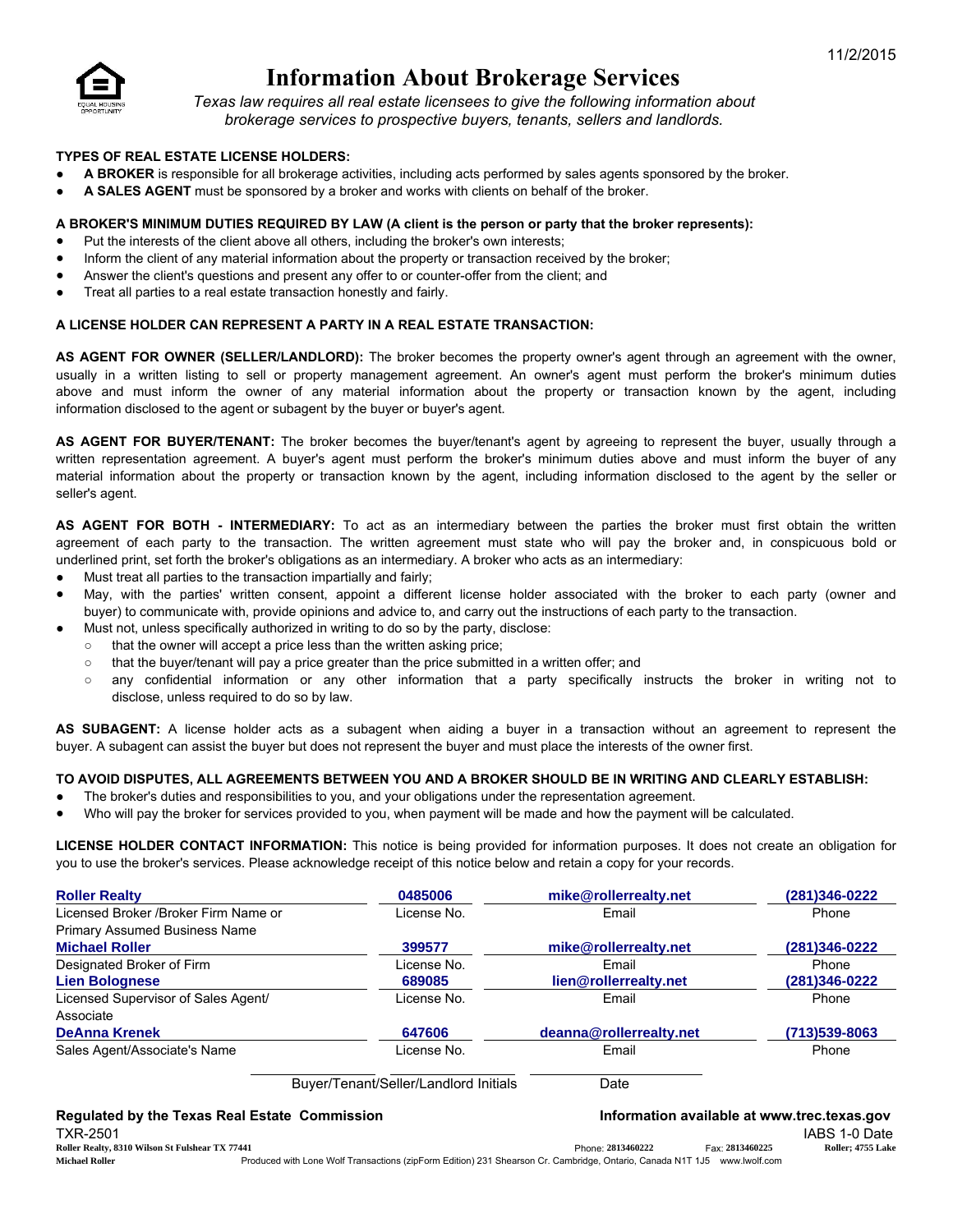

# Information About Brokerage Services

*Texas law requires all real estate licensees to give the following information about brokerage services to prospective buyers, tenants, sellers and landlords.*

# TYPES OF REAL ESTATE LICENSE HOLDERS:

- A BROKER is responsible for all brokerage activities, including acts performed by sales agents sponsored by the broker.
- A SALES AGENT must be sponsored by a broker and works with clients on behalf of the broker.

# A BROKER'S MINIMUM DUTIES REQUIRED BY LAW (A client is the person or party that the broker represents):

- Put the interests of the client above all others, including the broker's own interests;
- Inform the client of any material information about the property or transaction received by the broker;
- Answer the client's questions and present any offer to or counter-offer from the client; and
- Treat all parties to a real estate transaction honestly and fairly.

### A LICENSE HOLDER CAN REPRESENT A PARTY IN A REAL ESTATE TRANSACTION:

AS AGENT FOR OWNER (SELLER/LANDLORD): The broker becomes the property owner's agent through an agreement with the owner, usually in a written listing to sell or property management agreement. An owner's agent must perform the broker's minimum duties above and must inform the owner of any material information about the property or transaction known by the agent, including information disclosed to the agent or subagent by the buyer or buyer's agent.

AS AGENT FOR BUYER/TENANT: The broker becomes the buyer/tenant's agent by agreeing to represent the buyer, usually through a written representation agreement. A buyer's agent must perform the broker's minimum duties above and must inform the buyer of any material information about the property or transaction known by the agent, including information disclosed to the agent by the seller or seller's agent.

AS AGENT FOR BOTH - INTERMEDIARY: To act as an intermediary between the parties the broker must first obtain the written agreement of each party to the transaction. The written agreement must state who will pay the broker and, in conspicuous bold or underlined print, set forth the broker's obligations as an intermediary. A broker who acts as an intermediary:

- Must treat all parties to the transaction impartially and fairly;
- May, with the parties' written consent, appoint a different license holder associated with the broker to each party (owner and buyer) to communicate with, provide opinions and advice to, and carry out the instructions of each party to the transaction.
- Must not, unless specifically authorized in writing to do so by the party, disclose:
	- that the owner will accept a price less than the written asking price;
	- that the buyer/tenant will pay a price greater than the price submitted in a written offer; and
	- any confidential information or any other information that a party specifically instructs the broker in writing not to disclose, unless required to do so by law.

AS SUBAGENT: A license holder acts as a subagent when aiding a buyer in a transaction without an agreement to represent the buyer. A subagent can assist the buyer but does not represent the buyer and must place the interests of the owner first.

#### TO AVOID DISPUTES, ALL AGREEMENTS BETWEEN YOU AND A BROKER SHOULD BE IN WRITING AND CLEARLY ESTABLISH:

- The broker's duties and responsibilities to you, and your obligations under the representation agreement.
- Who will pay the broker for services provided to you, when payment will be made and how the payment will be calculated.

LICENSE HOLDER CONTACT INFORMATION: This notice is being provided for information purposes. It does not create an obligation for you to use the broker's services. Please acknowledge receipt of this notice below and retain a copy for your records.

| <b>Roller Realty</b>                  | 0485006                               | mike@rollerrealty.net   | (281)346-0222  |
|---------------------------------------|---------------------------------------|-------------------------|----------------|
| Licensed Broker / Broker Firm Name or | License No.                           | Email                   | Phone          |
| <b>Primary Assumed Business Name</b>  |                                       |                         |                |
| <b>Michael Roller</b>                 | 399577                                | mike@rollerrealty.net   | (281)346-0222  |
| Designated Broker of Firm             | License No.                           | Email                   | Phone          |
| <b>Lien Bolognese</b>                 | 689085                                | lien@rollerrealty.net   | (281)346-0222  |
| Licensed Supervisor of Sales Agent/   | License No.                           | Email                   | Phone          |
| Associate                             |                                       |                         |                |
| <b>DeAnna Krenek</b>                  | 647606                                | deanna@rollerrealty.net | (713) 539-8063 |
| Sales Agent/Associate's Name          | License No.                           | Email                   | Phone          |
|                                       | Buyer/Tenant/Seller/Landlord Initials | Date                    |                |

| Regulated by the Texas Real Estate Commission   |                                                                                                                          | Information available at www.trec.texas.gov |                 |                   |
|-------------------------------------------------|--------------------------------------------------------------------------------------------------------------------------|---------------------------------------------|-----------------|-------------------|
| TXR-2501                                        |                                                                                                                          |                                             |                 | IABS 1-0 Date     |
| Roller Realty, 8310 Wilson St Fulshear TX 77441 |                                                                                                                          | Phone: 2813460222                           | Fax: 2813460225 | Roller: 4755 Lake |
| <b>Michael Roller</b>                           | Produced with Lone Wolf Transactions (zipForm Edition) 231 Shearson Cr. Cambridge, Ontario, Canada N1T 1J5 www.lwolf.com |                                             |                 |                   |